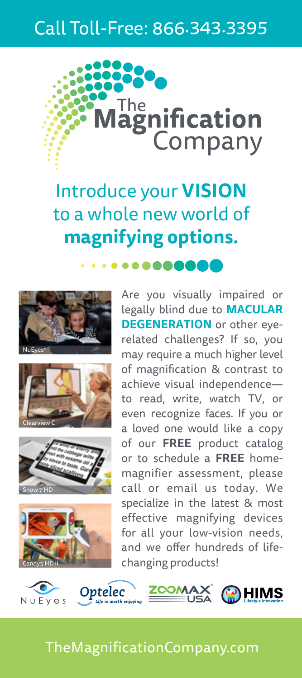## Call Toll-Free: 866.343.3395



Introduce your **VISION** to a whole new world of **magnifying options.**

 $\bullet\bullet\bullet\bullet\bullet\bullet$ 









Are you visually impaired or legally blind due to **MACULAR DEGENERATION** or other eyerelated challenges? If so, you may require a much higher level of magnification & contrast to achieve visual independence to read, write, watch TV, or even recognize faces. If you or a loved one would like a copy of our **FREE** product catalog or to schedule a **FREE** homemagnifier assessment, please call or email us today. We specialize in the latest & most effective magnifying devices for all your low-vision needs, and we offer hundreds of lifechanging products!



### TheMagnificationCompany.com